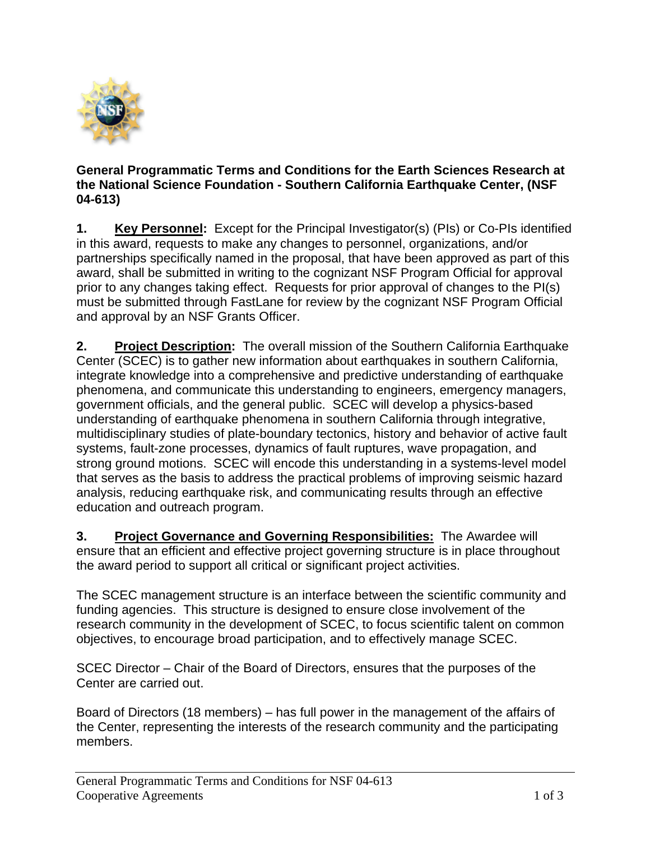

## **General Programmatic Terms and Conditions for the Earth Sciences Research at the National Science Foundation - Southern California Earthquake Center, (NSF 04-613)**

**1. Key Personnel:** Except for the Principal Investigator(s) (PIs) or Co-PIs identified in this award, requests to make any changes to personnel, organizations, and/or partnerships specifically named in the proposal, that have been approved as part of this award, shall be submitted in writing to the cognizant NSF Program Official for approval prior to any changes taking effect. Requests for prior approval of changes to the PI(s) must be submitted through FastLane for review by the cognizant NSF Program Official and approval by an NSF Grants Officer.

**2. Project Description:** The overall mission of the Southern California Earthquake Center (SCEC) is to gather new information about earthquakes in southern California, integrate knowledge into a comprehensive and predictive understanding of earthquake phenomena, and communicate this understanding to engineers, emergency managers, government officials, and the general public. SCEC will develop a physics-based understanding of earthquake phenomena in southern California through integrative, multidisciplinary studies of plate-boundary tectonics, history and behavior of active fault systems, fault-zone processes, dynamics of fault ruptures, wave propagation, and strong ground motions. SCEC will encode this understanding in a systems-level model that serves as the basis to address the practical problems of improving seismic hazard analysis, reducing earthquake risk, and communicating results through an effective education and outreach program.

**3. Project Governance and Governing Responsibilities:** The Awardee will ensure that an efficient and effective project governing structure is in place throughout the award period to support all critical or significant project activities.

The SCEC management structure is an interface between the scientific community and funding agencies. This structure is designed to ensure close involvement of the research community in the development of SCEC, to focus scientific talent on common objectives, to encourage broad participation, and to effectively manage SCEC.

SCEC Director – Chair of the Board of Directors, ensures that the purposes of the Center are carried out.

Board of Directors (18 members) – has full power in the management of the affairs of the Center, representing the interests of the research community and the participating members.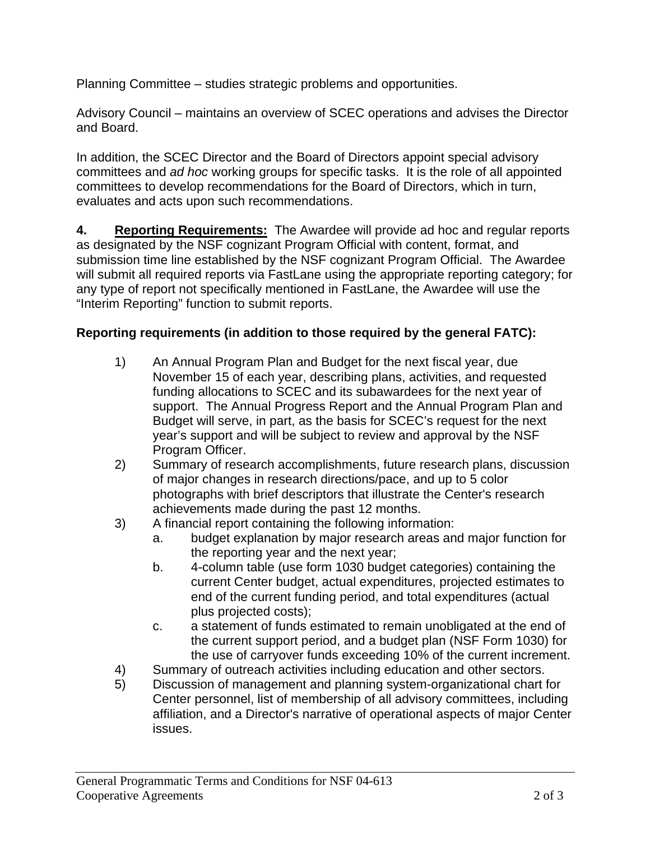Planning Committee – studies strategic problems and opportunities.

Advisory Council – maintains an overview of SCEC operations and advises the Director and Board.

In addition, the SCEC Director and the Board of Directors appoint special advisory committees and *ad hoc* working groups for specific tasks. It is the role of all appointed committees to develop recommendations for the Board of Directors, which in turn, evaluates and acts upon such recommendations.

**4. Reporting Requirements:** The Awardee will provide ad hoc and regular reports as designated by the NSF cognizant Program Official with content, format, and submission time line established by the NSF cognizant Program Official. The Awardee will submit all required reports via FastLane using the appropriate reporting category; for any type of report not specifically mentioned in FastLane, the Awardee will use the "Interim Reporting" function to submit reports.

## **Reporting requirements (in addition to those required by the general FATC):**

- 1) An Annual Program Plan and Budget for the next fiscal year, due November 15 of each year, describing plans, activities, and requested funding allocations to SCEC and its subawardees for the next year of support. The Annual Progress Report and the Annual Program Plan and Budget will serve, in part, as the basis for SCEC's request for the next year's support and will be subject to review and approval by the NSF Program Officer.
- 2) Summary of research accomplishments, future research plans, discussion of major changes in research directions/pace, and up to 5 color photographs with brief descriptors that illustrate the Center's research achievements made during the past 12 months.
- 3) A financial report containing the following information:
	- a. budget explanation by major research areas and major function for the reporting year and the next year;
	- b. 4-column table (use form 1030 budget categories) containing the current Center budget, actual expenditures, projected estimates to end of the current funding period, and total expenditures (actual plus projected costs);
	- c. a statement of funds estimated to remain unobligated at the end of the current support period, and a budget plan (NSF Form 1030) for the use of carryover funds exceeding 10% of the current increment.
- 4) Summary of outreach activities including education and other sectors.
- 5) Discussion of management and planning system-organizational chart for Center personnel, list of membership of all advisory committees, including affiliation, and a Director's narrative of operational aspects of major Center issues.